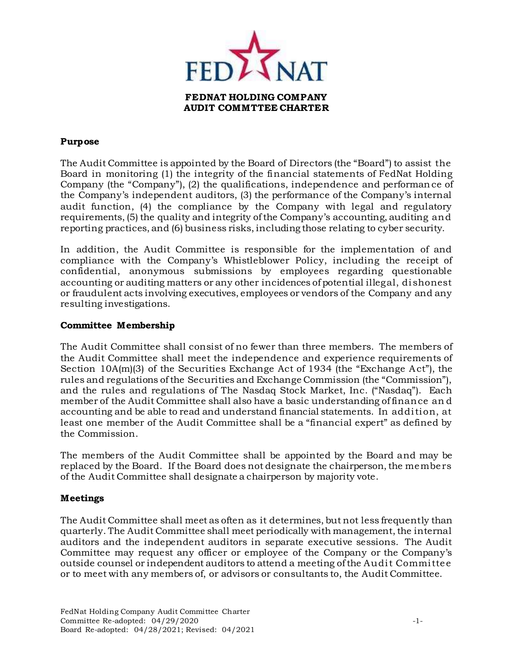

#### **Purpose**

The Audit Committee is appointed by the Board of Directors (the "Board") to assist the Board in monitoring (1) the integrity of the financial statements of FedNat Holding Company (the "Company"), (2) the qualifications, independence and performance of the Company's independent auditors, (3) the performance of the Company's internal audit function, (4) the compliance by the Company with legal and regulatory requirements, (5) the quality and integrity of the Company's accounting, auditing and reporting practices, and (6) business risks, including those relating to cyber security.

In addition, the Audit Committee is responsible for the implementation of and compliance with the Company's Whistleblower Policy, including the receipt of confidential, anonymous submissions by employees regarding questionable accounting or auditing matters or any other incidences of potential illegal, dishonest or fraudulent acts involving executives, employees or vendors of the Company and any resulting investigations.

#### **Committee Membership**

The Audit Committee shall consist of no fewer than three members. The members of the Audit Committee shall meet the independence and experience requirements of Section 10A(m)(3) of the Securities Exchange Act of 1934 (the "Exchange Act"), the rules and regulations of the Securities and Exchange Commission (the "Commission"), and the rules and regulations of The Nasdaq Stock Market, Inc. ("Nasdaq"). Each member of the Audit Committee shall also have a basic understanding of finance an d accounting and be able to read and understand financial statements. In addition, at least one member of the Audit Committee shall be a "financial expert" as defined by the Commission.

The members of the Audit Committee shall be appointed by the Board and may be replaced by the Board. If the Board does not designate the chairperson, the members of the Audit Committee shall designate a chairperson by majority vote.

# **Meetings**

The Audit Committee shall meet as often as it determines, but not less frequently than quarterly. The Audit Committee shall meet periodically with management, the internal auditors and the independent auditors in separate executive sessions. The Audit Committee may request any officer or employee of the Company or the Company's outside counsel or independent auditors to attend a meeting of the Audit Committee or to meet with any members of, or advisors or consultants to, the Audit Committee.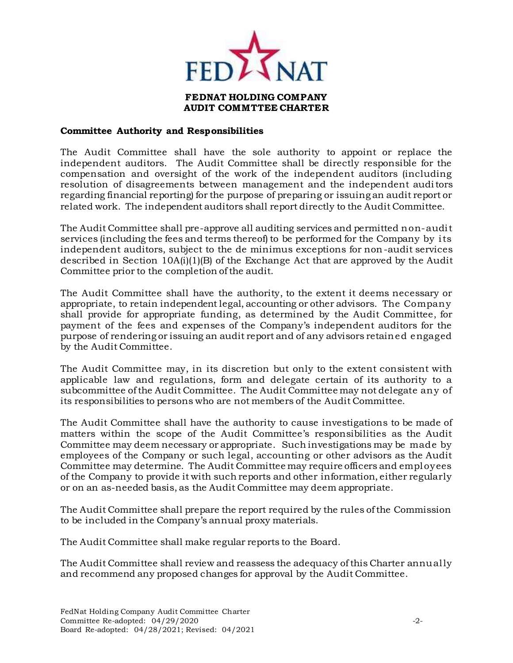

# **Committee Authority and Responsibilities**

The Audit Committee shall have the sole authority to appoint or replace the independent auditors. The Audit Committee shall be directly responsible for the compensation and oversight of the work of the independent auditors (including resolution of disagreements between management and the independent auditors regarding financial reporting) for the purpose of preparing or issuing an audit report or related work. The independent auditors shall report directly to the Audit Committee.

The Audit Committee shall pre-approve all auditing services and permitted non-audit services (including the fees and terms thereof) to be performed for the Company by its independent auditors, subject to the de minimus exceptions for non-audit services described in Section  $10A(i)(1)(B)$  of the Exchange Act that are approved by the Audit Committee prior to the completion of the audit.

The Audit Committee shall have the authority, to the extent it deems necessary or appropriate, to retain independent legal, accounting or other advisors. The Company shall provide for appropriate funding, as determined by the Audit Committee, for payment of the fees and expenses of the Company's independent auditors for the purpose of rendering or issuing an audit report and of any advisors retained engaged by the Audit Committee.

The Audit Committee may, in its discretion but only to the extent consistent with applicable law and regulations, form and delegate certain of its authority to a subcommittee of the Audit Committee. The Audit Committee may not delegate any of its responsibilities to persons who are not members of the Audit Committee.

The Audit Committee shall have the authority to cause investigations to be made of matters within the scope of the Audit Committee's responsibilities as the Audit Committee may deem necessary or appropriate. Such investigations may be made by employees of the Company or such legal, accounting or other advisors as the Audit Committee may determine. The Audit Committee may require officers and employees of the Company to provide it with such reports and other information, either regularly or on an as-needed basis, as the Audit Committee may deem appropriate.

The Audit Committee shall prepare the report required by the rules of the Commission to be included in the Company's annual proxy materials.

The Audit Committee shall make regular reports to the Board.

The Audit Committee shall review and reassess the adequacy of this Charter annually and recommend any proposed changes for approval by the Audit Committee.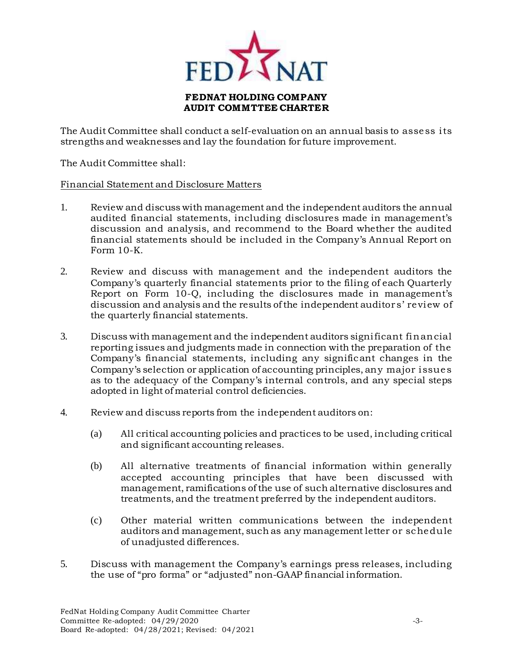

The Audit Committee shall conduct a self-evaluation on an annual basis to assess its strengths and weaknesses and lay the foundation for future improvement.

The Audit Committee shall:

# Financial Statement and Disclosure Matters

- 1. Review and discuss with management and the independent auditors the annual audited financial statements, including disclosures made in management's discussion and analysis, and recommend to the Board whether the audited financial statements should be included in the Company's Annual Report on Form 10-K.
- 2. Review and discuss with management and the independent auditors the Company's quarterly financial statements prior to the filing of each Quarterly Report on Form 10-Q, including the disclosures made in management's discussion and analysis and the results of the independent auditor s' review of the quarterly financial statements.
- 3. Discuss with management and the independent auditors significant financial reporting issues and judgments made in connection with the preparation of the Company's financial statements, including any significant changes in the Company's selection or application of accounting principles, any major issues as to the adequacy of the Company's internal controls, and any special steps adopted in light of material control deficiencies.
- 4. Review and discuss reports from the independent auditors on:
	- (a) All critical accounting policies and practices to be used, including critical and significant accounting releases.
	- (b) All alternative treatments of financial information within generally accepted accounting principles that have been discussed with management, ramifications of the use of such alternative disclosures and treatments, and the treatment preferred by the independent auditors.
	- (c) Other material written communications between the independent auditors and management, such as any management letter or schedule of unadjusted differences.
- 5. Discuss with management the Company's earnings press releases, including the use of "pro forma" or "adjusted" non-GAAP financial information.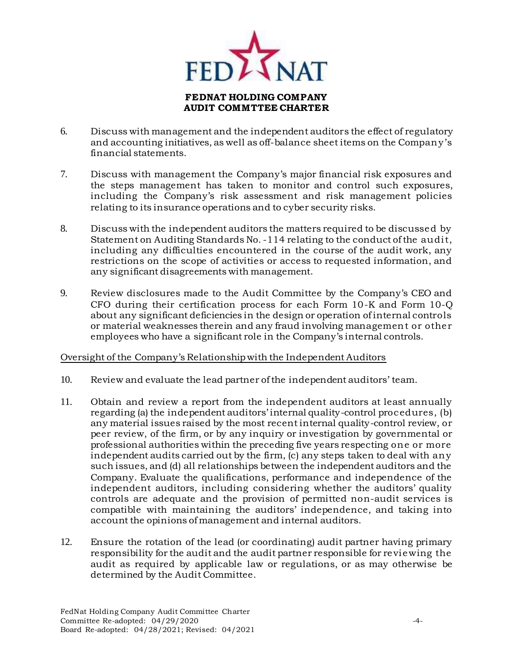

- 6. Discuss with management and the independent auditors the effect of regulatory and accounting initiatives, as well as off-balance sheet items on the Company's financial statements.
- 7. Discuss with management the Company's major financial risk exposures and the steps management has taken to monitor and control such exposures, including the Company's risk assessment and risk management policies relating to its insurance operations and to cyber security risks.
- 8. Discuss with the independent auditors the matters required to be discussed by Statement on Auditing Standards No. -114 relating to the conduct of the audit, including any difficulties encountered in the course of the audit work, any restrictions on the scope of activities or access to requested information, and any significant disagreements with management.
- 9. Review disclosures made to the Audit Committee by the Company's CEO and CFO during their certification process for each Form 10-K and Form 10-Q about any significant deficiencies in the design or operation of internal controls or material weaknesses therein and any fraud involving management or other employees who have a significant role in the Company's internal controls.

# Oversight of the Company's Relationship with the Independent Auditors

- 10. Review and evaluate the lead partner of the independent auditors' team.
- 11. Obtain and review a report from the independent auditors at least annually regarding (a) the independent auditors' internal quality-control procedures, (b) any material issues raised by the most recent internal quality-control review, or peer review, of the firm, or by any inquiry or investigation by governmental or professional authorities within the preceding five years respecting one or more independent audits carried out by the firm, (c) any steps taken to deal with any such issues, and (d) all relationships between the independent auditors and the Company. Evaluate the qualifications, performance and independence of the independent auditors, including considering whether the auditors' quality controls are adequate and the provision of permitted non-audit services is compatible with maintaining the auditors' independence, and taking into account the opinions of management and internal auditors.
- 12. Ensure the rotation of the lead (or coordinating) audit partner having primary responsibility for the audit and the audit partner responsible for reviewing the audit as required by applicable law or regulations, or as may otherwise be determined by the Audit Committee.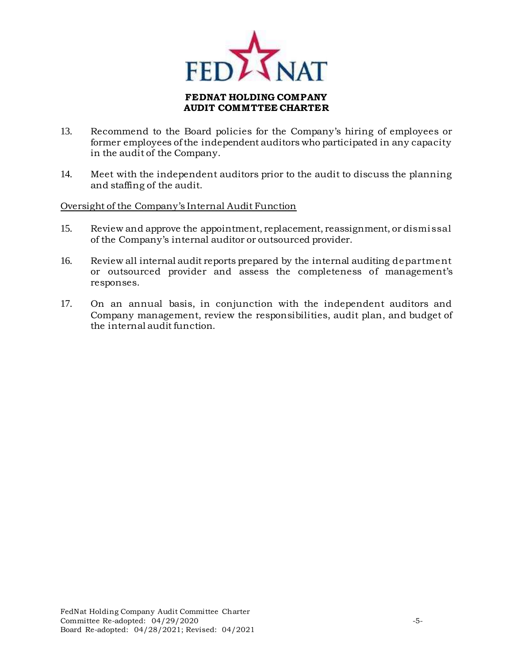

- 13. Recommend to the Board policies for the Company's hiring of employees or former employees of the independent auditors who participated in any capacity in the audit of the Company.
- 14. Meet with the independent auditors prior to the audit to discuss the planning and staffing of the audit.

#### Oversight of the Company's Internal Audit Function

- 15. Review and approve the appointment, replacement, reassignment, or dismissal of the Company's internal auditor or outsourced provider.
- 16. Review all internal audit reports prepared by the internal auditing department or outsourced provider and assess the completeness of management's responses.
- 17. On an annual basis, in conjunction with the independent auditors and Company management, review the responsibilities, audit plan, and budget of the internal audit function.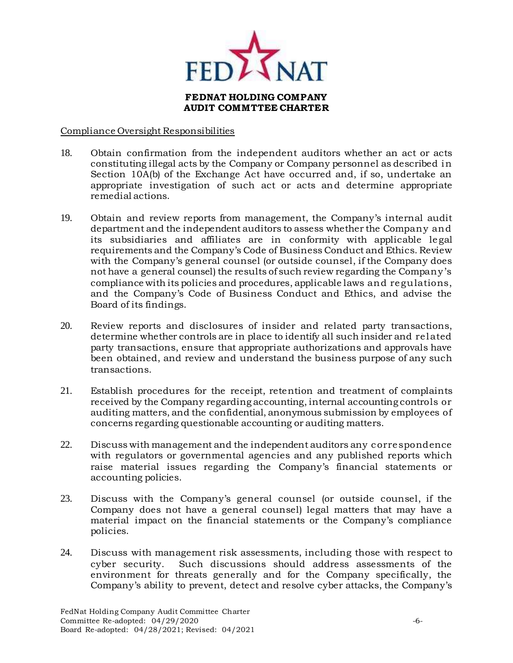

#### Compliance Oversight Responsibilities

- 18. Obtain confirmation from the independent auditors whether an act or acts constituting illegal acts by the Company or Company personnel as described in Section 10A(b) of the Exchange Act have occurred and, if so, undertake an appropriate investigation of such act or acts and determine appropriate remedial actions.
- 19. Obtain and review reports from management, the Company's internal audit department and the independent auditors to assess whether the Company and its subsidiaries and affiliates are in conformity with applicable le gal requirements and the Company's Code of Business Conduct and Ethics. Review with the Company's general counsel (or outside counsel, if the Company does not have a general counsel) the results of such review regarding the Company's compliance with its policies and procedures, applicable laws and regulations, and the Company's Code of Business Conduct and Ethics, and advise the Board of its findings.
- 20. Review reports and disclosures of insider and related party transactions, determine whether controls are in place to identify all such insider and related party transactions, ensure that appropriate authorizations and approvals have been obtained, and review and understand the business purpose of any such transactions.
- 21. Establish procedures for the receipt, retention and treatment of complaints received by the Company regarding accounting, internal accounting controls or auditing matters, and the confidential, anonymous submission by employees of concerns regarding questionable accounting or auditing matters.
- 22. Discuss with management and the independent auditors any correspondence with regulators or governmental agencies and any published reports which raise material issues regarding the Company's financial statements or accounting policies.
- 23. Discuss with the Company's general counsel (or outside counsel, if the Company does not have a general counsel) legal matters that may have a material impact on the financial statements or the Company's compliance policies.
- 24. Discuss with management risk assessments, including those with respect to cyber security. Such discussions should address assessments of the environment for threats generally and for the Company specifically, the Company's ability to prevent, detect and resolve cyber attacks, the Company's